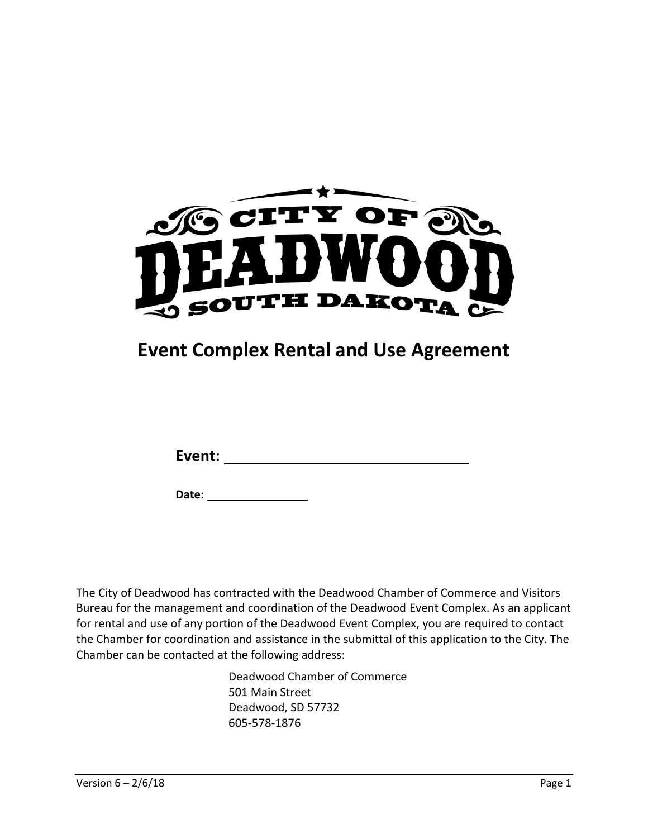

# **Event Complex Rental and Use Agreement**

**Date:** 

The City of Deadwood has contracted with the Deadwood Chamber of Commerce and Visitors Bureau for the management and coordination of the Deadwood Event Complex. As an applicant for rental and use of any portion of the Deadwood Event Complex, you are required to contact the Chamber for coordination and assistance in the submittal of this application to the City. The Chamber can be contacted at the following address:

> Deadwood Chamber of Commerce 501 Main Street Deadwood, SD 57732 605-578-1876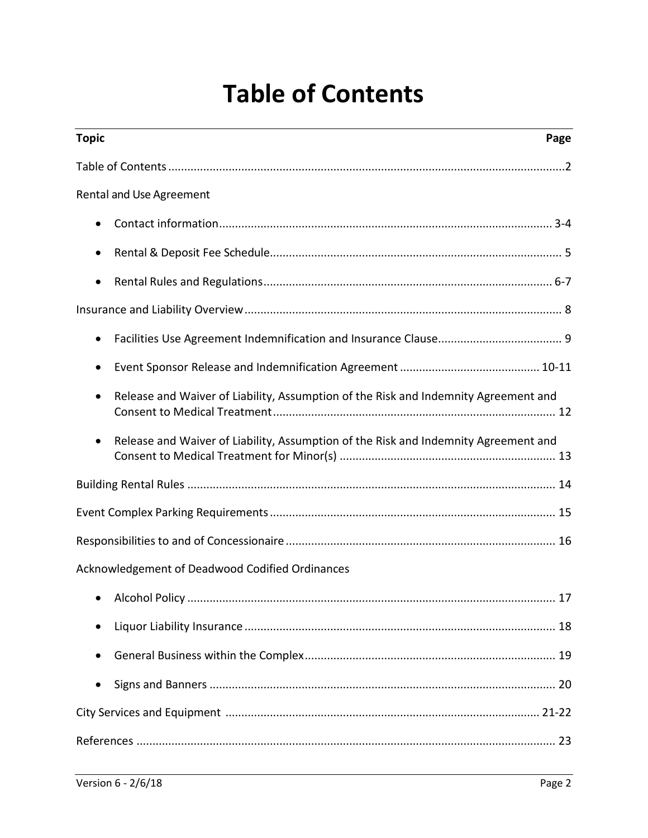# **Table of Contents**

| <b>Topic</b>                                                                                     | Page |
|--------------------------------------------------------------------------------------------------|------|
|                                                                                                  |      |
| Rental and Use Agreement                                                                         |      |
|                                                                                                  |      |
|                                                                                                  |      |
| ٠                                                                                                |      |
|                                                                                                  |      |
| $\bullet$                                                                                        |      |
| ٠                                                                                                |      |
| Release and Waiver of Liability, Assumption of the Risk and Indemnity Agreement and<br>$\bullet$ |      |
| Release and Waiver of Liability, Assumption of the Risk and Indemnity Agreement and<br>$\bullet$ |      |
|                                                                                                  |      |
|                                                                                                  |      |
|                                                                                                  |      |
| Acknowledgement of Deadwood Codified Ordinances                                                  |      |
|                                                                                                  | 17   |
|                                                                                                  |      |
|                                                                                                  |      |
| $\bullet$                                                                                        |      |
|                                                                                                  |      |
|                                                                                                  |      |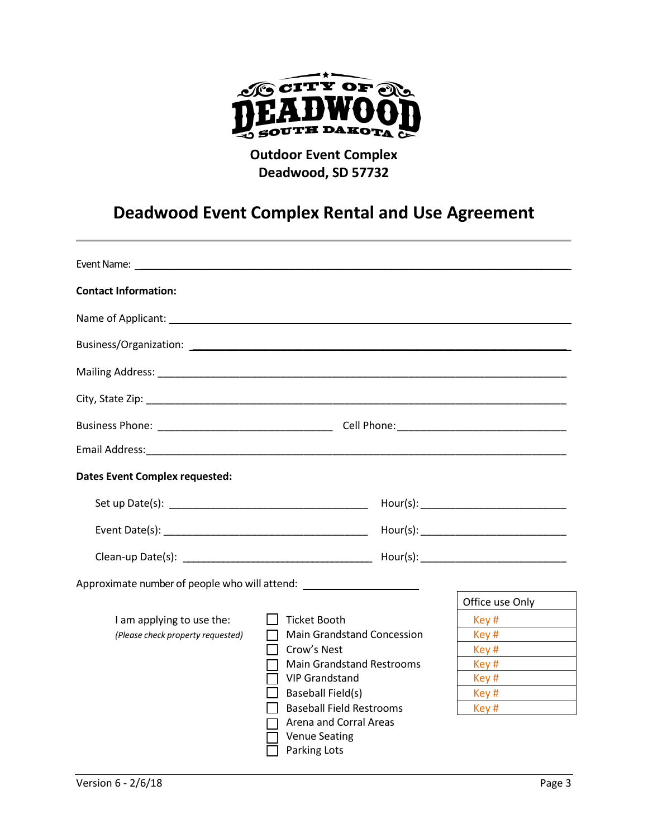

### **Outdoor Event Complex Deadwood, SD 57732**

# **Deadwood Event Complex Rental and Use Agreement**

| Event Name: Lawrence and the contract of the contract of the contract of the contract of the contract of the contract of the contract of the contract of the contract of the contract of the contract of the contract of the c |                                   |                 |
|--------------------------------------------------------------------------------------------------------------------------------------------------------------------------------------------------------------------------------|-----------------------------------|-----------------|
| <b>Contact Information:</b>                                                                                                                                                                                                    |                                   |                 |
|                                                                                                                                                                                                                                |                                   |                 |
|                                                                                                                                                                                                                                |                                   |                 |
|                                                                                                                                                                                                                                |                                   |                 |
|                                                                                                                                                                                                                                |                                   |                 |
|                                                                                                                                                                                                                                |                                   |                 |
|                                                                                                                                                                                                                                |                                   |                 |
| <b>Dates Event Complex requested:</b>                                                                                                                                                                                          |                                   |                 |
|                                                                                                                                                                                                                                |                                   |                 |
|                                                                                                                                                                                                                                |                                   |                 |
|                                                                                                                                                                                                                                |                                   |                 |
| Approximate number of people who will attend: __________________________________                                                                                                                                               |                                   |                 |
|                                                                                                                                                                                                                                |                                   | Office use Only |
| I am applying to use the:                                                                                                                                                                                                      | $\mathsf{L}$<br>Ticket Booth      | Key #           |
| (Please check property requested)                                                                                                                                                                                              | <b>Main Grandstand Concession</b> | Key #           |
|                                                                                                                                                                                                                                | Crow's Nest<br>$\blacksquare$     | Key #           |
|                                                                                                                                                                                                                                | <b>Main Grandstand Restrooms</b>  | Key #           |
|                                                                                                                                                                                                                                | <b>VIP Grandstand</b>             | Key #           |
|                                                                                                                                                                                                                                | Baseball Field(s)                 | Key #           |
|                                                                                                                                                                                                                                | <b>Baseball Field Restrooms</b>   | Key #           |
|                                                                                                                                                                                                                                | $\Box$ Arena and Corral Areas     |                 |
|                                                                                                                                                                                                                                | <b>Venue Seating</b>              |                 |
|                                                                                                                                                                                                                                | Parking Lots                      |                 |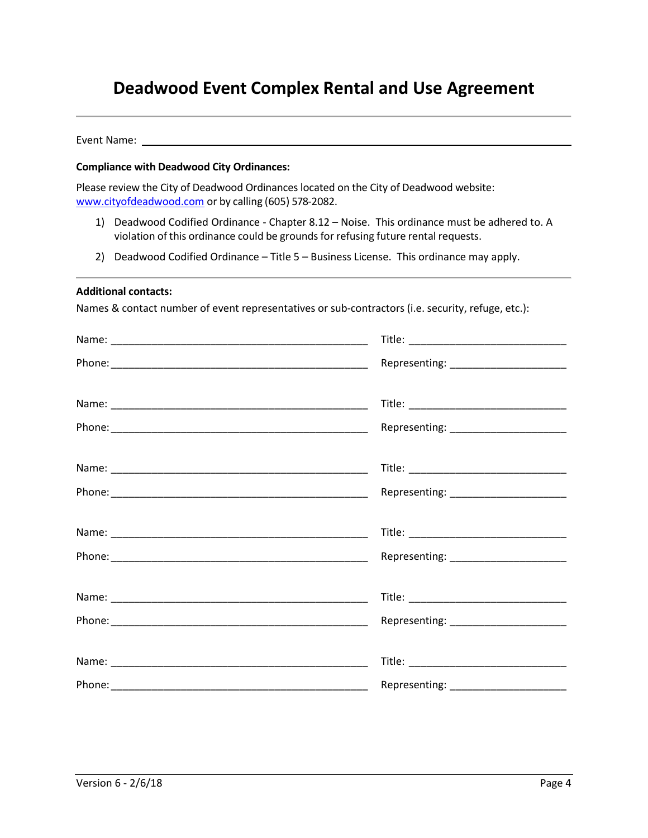### **Deadwood Event Complex Rental and Use Agreement**

Event Name: \_\_\_\_\_\_\_\_\_\_\_\_\_\_\_\_\_\_\_\_\_\_\_\_\_\_\_\_\_\_\_\_\_\_\_\_\_\_\_\_\_\_\_\_\_\_\_\_\_\_\_\_\_\_\_\_\_\_\_\_\_\_\_\_\_\_\_\_\_\_\_\_

#### **Compliance with Deadwood City Ordinances:**

Please review the City of Deadwood Ordinances located on the City of Deadwood website: [www.cityofdeadwood.com](http://www.cityofdeadwood.com/) or by calling (605) 578-2082.

- 1) Deadwood Codified Ordinance Chapter 8.12 Noise. This ordinance must be adhered to. A violation of this ordinance could be grounds for refusing future rental requests.
- 2) Deadwood Codified Ordinance Title 5 Business License. This ordinance may apply.

#### **Additional contacts:**

Names & contact number of event representatives or sub-contractors (i.e. security, refuge, etc.):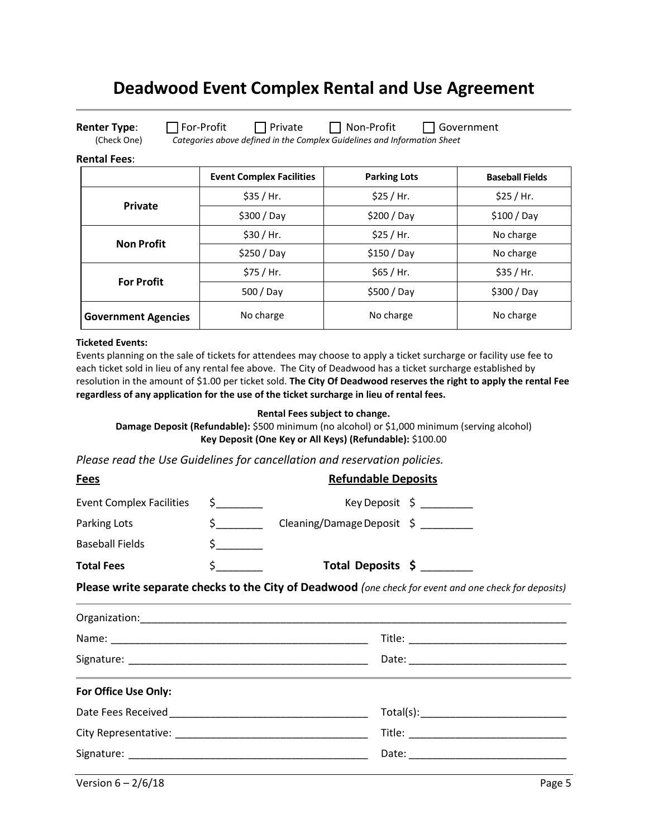### **Deadwood Event Complex Rental and Use Agreement**

**Renter Type**:  $\Box$  For-Profit  $\Box$  Private  $\Box$  Non-Profit  $\Box$  Government

(Check One) *Categories above defined in the Complex Guidelines and Information Sheet*

#### **Rental Fees**:

|                            | <b>Event Complex Facilities</b> | <b>Parking Lots</b> | <b>Baseball Fields</b> |
|----------------------------|---------------------------------|---------------------|------------------------|
| Private                    | \$35 / Hr.                      | \$25 / Hr.          | \$25 / Hr.             |
|                            | $$300/$ Day                     | $$200/$ Day         | $$100/$ Day            |
| <b>Non Profit</b>          | \$30 / Hr.                      | \$25 / Hr.          | No charge              |
|                            | $$250/$ Day                     | $$150/$ Day         | No charge              |
| <b>For Profit</b>          | \$75 / Hr.                      | \$65 / Hr.          | \$35 / Hr.             |
|                            | 500 / Day                       | \$500 / Day         | $$300/$ Day            |
| <b>Government Agencies</b> | No charge                       | No charge           | No charge              |

#### **Ticketed Events:**

Events planning on the sale of tickets for attendees may choose to apply a ticket surcharge or facility use fee to each ticket sold in lieu of any rental fee above. The City of Deadwood has a ticket surcharge established by resolution in the amount of \$1.00 per ticket sold. **The City Of Deadwood reserves the right to apply the rental Fee regardless of any application for the use of the ticket surcharge in lieu of rental fees.** 

#### **Rental Fees subject to change.**

**Damage Deposit (Refundable):** \$500 minimum (no alcohol) or \$1,000 minimum (serving alcohol) **Key Deposit (One Key or All Keys) (Refundable):** \$100.00

*Please read the Use Guidelines for cancellation and reservation policies.* 

| <b>Fees</b>                     |                              | <b>Refundable Deposits</b>                                                                                           |
|---------------------------------|------------------------------|----------------------------------------------------------------------------------------------------------------------|
| <b>Event Complex Facilities</b> | $\frac{1}{2}$                | Key Deposit $\sin \theta$                                                                                            |
| Parking Lots                    | $\sim$                       | Cleaning/Damage Deposit \$ _________                                                                                 |
| <b>Baseball Fields</b>          | $\frac{1}{2}$                |                                                                                                                      |
| <b>Total Fees</b>               | $\ddot{\mathsf{s}}$ $\qquad$ | Total Deposits \$                                                                                                    |
|                                 |                              | Please write separate checks to the City of Deadwood (one check for event and one check for deposits)                |
|                                 |                              |                                                                                                                      |
|                                 |                              |                                                                                                                      |
|                                 |                              |                                                                                                                      |
| For Office Use Only:            |                              | <u> 1989 - Andrea Santa Andrea Andrea Andrea Andrea Andrea Andrea Andrea Andrea Andrea Andrea Andrea Andrea Andr</u> |
|                                 |                              |                                                                                                                      |
|                                 |                              |                                                                                                                      |
|                                 |                              |                                                                                                                      |
|                                 |                              |                                                                                                                      |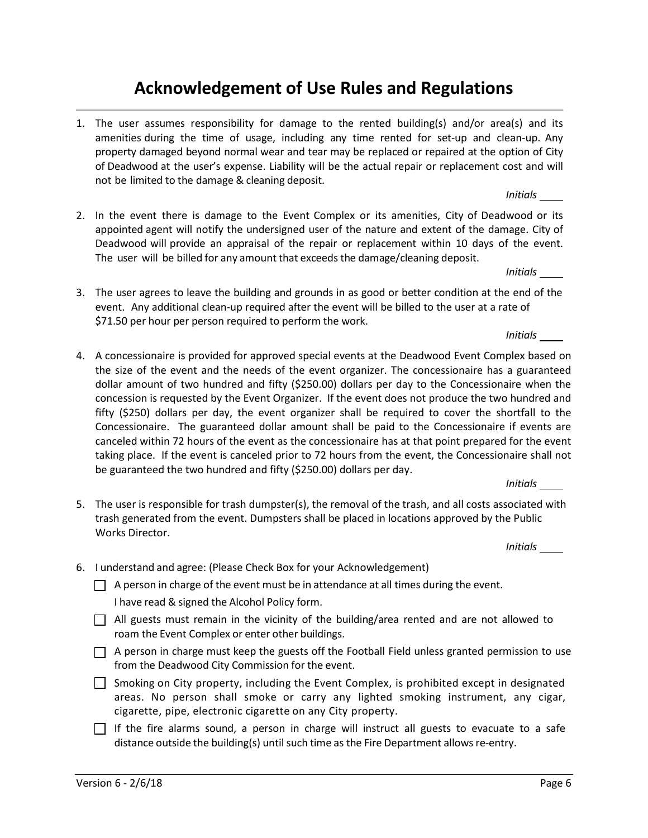### **Acknowledgement of Use Rules and Regulations**

1. The user assumes responsibility for damage to the rented building(s) and/or area(s) and its amenities during the time of usage, including any time rented for set-up and clean-up. Any property damaged beyond normal wear and tear may be replaced or repaired at the option of City of Deadwood at the user's expense. Liability will be the actual repair or replacement cost and will not be limited to the damage & cleaning deposit.

2. In the event there is damage to the Event Complex or its amenities, City of Deadwood or its appointed agent will notify the undersigned user of the nature and extent of the damage. City of Deadwood will provide an appraisal of the repair or replacement within 10 days of the event. The user will be billed for any amount that exceeds the damage/cleaning deposit.

*Initials* 

*Initials* 

3. The user agrees to leave the building and grounds in as good or better condition at the end of the event. Any additional clean-up required after the event will be billed to the user at a rate of \$71.50 per hour per person required to perform the work.

*Initials* 

4. A concessionaire is provided for approved special events at the Deadwood Event Complex based on the size of the event and the needs of the event organizer. The concessionaire has a guaranteed dollar amount of two hundred and fifty (\$250.00) dollars per day to the Concessionaire when the concession is requested by the Event Organizer. If the event does not produce the two hundred and fifty (\$250) dollars per day, the event organizer shall be required to cover the shortfall to the Concessionaire. The guaranteed dollar amount shall be paid to the Concessionaire if events are canceled within 72 hours of the event as the concessionaire has at that point prepared for the event taking place. If the event is canceled prior to 72 hours from the event, the Concessionaire shall not be guaranteed the two hundred and fifty (\$250.00) dollars per day.

*Initials* 

5. The user is responsible for trash dumpster(s), the removal of the trash, and all costs associated with trash generated from the event. Dumpsters shall be placed in locations approved by the Public Works Director.

*Initials* 

- 6. I understand and agree: (Please Check Box for your Acknowledgement)
	- $\Box$  A person in charge of the event must be in attendance at all times during the event. I have read & signed the Alcohol Policy form.
	- All guests must remain in the vicinity of the building/area rented and are not allowed to roam the Event Complex or enter other buildings.
	- $\Box$  A person in charge must keep the guests off the Football Field unless granted permission to use from the Deadwood City Commission for the event.
	- $\Box$  Smoking on City property, including the Event Complex, is prohibited except in designated areas. No person shall smoke or carry any lighted smoking instrument, any cigar, cigarette, pipe, electronic cigarette on any City property.
	- $\Box$  If the fire alarms sound, a person in charge will instruct all guests to evacuate to a safe distance outside the building(s) until such time as the Fire Department allows re-entry.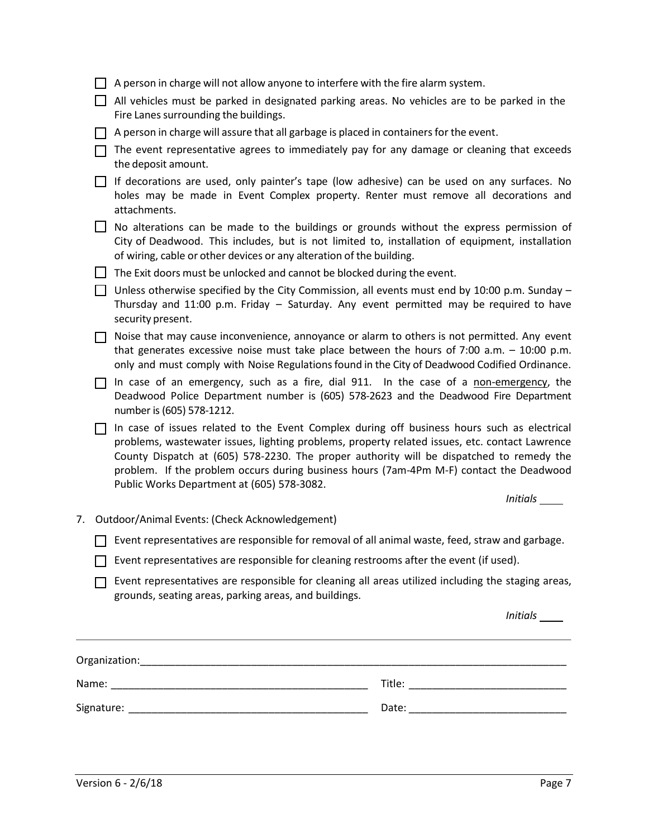|  | A person in charge will not allow anyone to interfere with the fire alarm system.                                                                                                                                                                                                                                                                                                                                                  |          |
|--|------------------------------------------------------------------------------------------------------------------------------------------------------------------------------------------------------------------------------------------------------------------------------------------------------------------------------------------------------------------------------------------------------------------------------------|----------|
|  | All vehicles must be parked in designated parking areas. No vehicles are to be parked in the<br>Fire Lanes surrounding the buildings.                                                                                                                                                                                                                                                                                              |          |
|  | A person in charge will assure that all garbage is placed in containers for the event.                                                                                                                                                                                                                                                                                                                                             |          |
|  | The event representative agrees to immediately pay for any damage or cleaning that exceeds<br>the deposit amount.                                                                                                                                                                                                                                                                                                                  |          |
|  | If decorations are used, only painter's tape (low adhesive) can be used on any surfaces. No<br>holes may be made in Event Complex property. Renter must remove all decorations and<br>attachments.                                                                                                                                                                                                                                 |          |
|  | No alterations can be made to the buildings or grounds without the express permission of<br>City of Deadwood. This includes, but is not limited to, installation of equipment, installation<br>of wiring, cable or other devices or any alteration of the building.                                                                                                                                                                |          |
|  | The Exit doors must be unlocked and cannot be blocked during the event.                                                                                                                                                                                                                                                                                                                                                            |          |
|  | Unless otherwise specified by the City Commission, all events must end by 10:00 p.m. Sunday -<br>Thursday and 11:00 p.m. Friday - Saturday. Any event permitted may be required to have<br>security present.                                                                                                                                                                                                                       |          |
|  | Noise that may cause inconvenience, annoyance or alarm to others is not permitted. Any event<br>that generates excessive noise must take place between the hours of 7:00 a.m. $-$ 10:00 p.m.<br>only and must comply with Noise Regulations found in the City of Deadwood Codified Ordinance.                                                                                                                                      |          |
|  | In case of an emergency, such as a fire, dial 911. In the case of a non-emergency, the<br>Deadwood Police Department number is (605) 578-2623 and the Deadwood Fire Department<br>number is (605) 578-1212.                                                                                                                                                                                                                        |          |
|  | In case of issues related to the Event Complex during off business hours such as electrical<br>problems, wastewater issues, lighting problems, property related issues, etc. contact Lawrence<br>County Dispatch at (605) 578-2230. The proper authority will be dispatched to remedy the<br>problem. If the problem occurs during business hours (7am-4Pm M-F) contact the Deadwood<br>Public Works Department at (605) 578-3082. |          |
|  |                                                                                                                                                                                                                                                                                                                                                                                                                                    | Initials |
|  | 7. Outdoor/Animal Events: (Check Acknowledgement)                                                                                                                                                                                                                                                                                                                                                                                  |          |
|  | Event representatives are responsible for removal of all animal waste, feed, straw and garbage.                                                                                                                                                                                                                                                                                                                                    |          |
|  | Event representatives are responsible for cleaning restrooms after the event (if used).                                                                                                                                                                                                                                                                                                                                            |          |
|  | Event representatives are responsible for cleaning all areas utilized including the staging areas,<br>grounds, seating areas, parking areas, and buildings.                                                                                                                                                                                                                                                                        |          |
|  |                                                                                                                                                                                                                                                                                                                                                                                                                                    | Initials |
|  |                                                                                                                                                                                                                                                                                                                                                                                                                                    |          |
|  |                                                                                                                                                                                                                                                                                                                                                                                                                                    |          |
|  |                                                                                                                                                                                                                                                                                                                                                                                                                                    |          |
|  |                                                                                                                                                                                                                                                                                                                                                                                                                                    |          |
|  |                                                                                                                                                                                                                                                                                                                                                                                                                                    |          |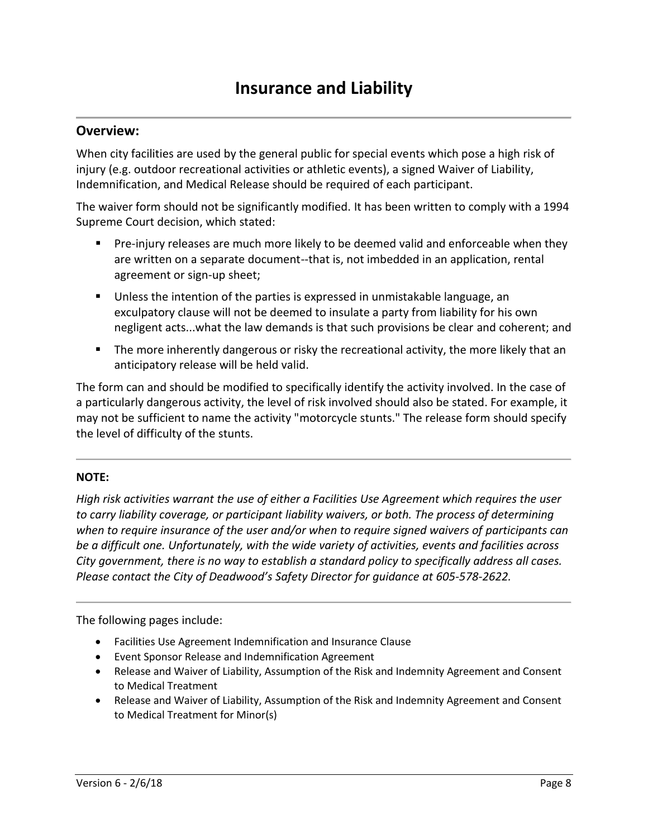### **Overview:**

When city facilities are used by the general public for special events which pose a high risk of injury (e.g. outdoor recreational activities or athletic events), a signed Waiver of Liability, Indemnification, and Medical Release should be required of each participant.

The waiver form should not be significantly modified. It has been written to comply with a 1994 Supreme Court decision, which stated:

- **Pre-injury releases are much more likely to be deemed valid and enforceable when they** are written on a separate document--that is, not imbedded in an application, rental agreement or sign-up sheet;
- Unless the intention of the parties is expressed in unmistakable language, an exculpatory clause will not be deemed to insulate a party from liability for his own negligent acts...what the law demands is that such provisions be clear and coherent; and
- **The more inherently dangerous or risky the recreational activity, the more likely that an** anticipatory release will be held valid.

The form can and should be modified to specifically identify the activity involved. In the case of a particularly dangerous activity, the level of risk involved should also be stated. For example, it may not be sufficient to name the activity "motorcycle stunts." The release form should specify the level of difficulty of the stunts.

### **NOTE:**

*High risk activities warrant the use of either a Facilities Use Agreement which requires the user to carry liability coverage, or participant liability waivers, or both. The process of determining when to require insurance of the user and/or when to require signed waivers of participants can be a difficult one. Unfortunately, with the wide variety of activities, events and facilities across City government, there is no way to establish a standard policy to specifically address all cases. Please contact the City of Deadwood's Safety Director for guidance at 605-578-2622.* 

The following pages include:

- Facilities Use Agreement Indemnification and Insurance Clause
- Event Sponsor Release and Indemnification Agreement
- Release and Waiver of Liability, Assumption of the Risk and Indemnity Agreement and Consent to Medical Treatment
- Release and Waiver of Liability, Assumption of the Risk and Indemnity Agreement and Consent to Medical Treatment for Minor(s)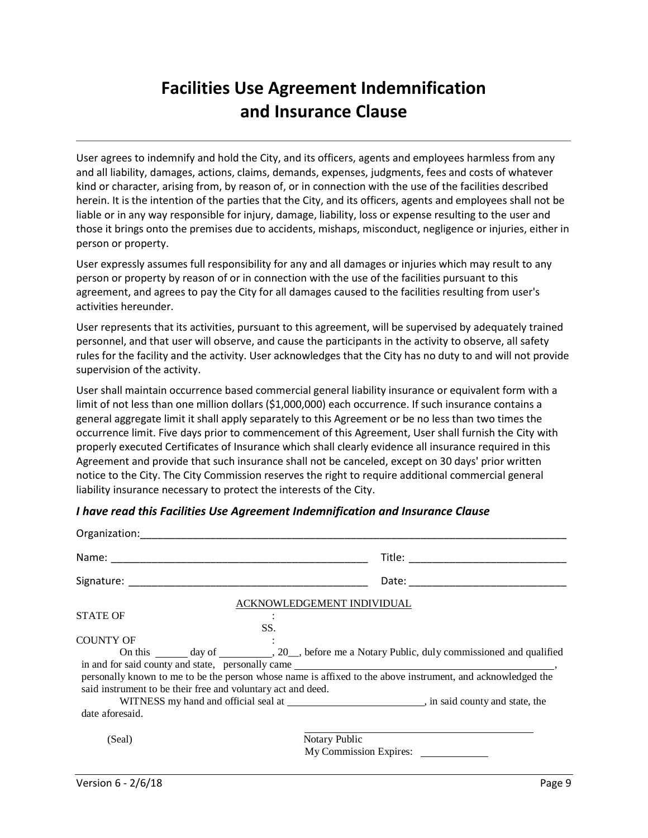# **Facilities Use Agreement Indemnification and Insurance Clause**

User agrees to indemnify and hold the City, and its officers, agents and employees harmless from any and all liability, damages, actions, claims, demands, expenses, judgments, fees and costs of whatever kind or character, arising from, by reason of, or in connection with the use of the facilities described herein. It is the intention of the parties that the City, and its officers, agents and employees shall not be liable or in any way responsible for injury, damage, liability, loss or expense resulting to the user and those it brings onto the premises due to accidents, mishaps, misconduct, negligence or injuries, either in person or property.

User expressly assumes full responsibility for any and all damages or injuries which may result to any person or property by reason of or in connection with the use of the facilities pursuant to this agreement, and agrees to pay the City for all damages caused to the facilities resulting from user's activities hereunder.

User represents that its activities, pursuant to this agreement, will be supervised by adequately trained personnel, and that user will observe, and cause the participants in the activity to observe, all safety rules for the facility and the activity. User acknowledges that the City has no duty to and will not provide supervision of the activity.

User shall maintain occurrence based commercial general liability insurance or equivalent form with a limit of not less than one million dollars (\$1,000,000) each occurrence. If such insurance contains a general aggregate limit it shall apply separately to this Agreement or be no less than two times the occurrence limit. Five days prior to commencement of this Agreement, User shall furnish the City with properly executed Certificates of Insurance which shall clearly evidence all insurance required in this Agreement and provide that such insurance shall not be canceled, except on 30 days' prior written notice to the City. The City Commission reserves the right to require additional commercial general liability insurance necessary to protect the interests of the City.

| <b>STATE OF</b><br>SS.<br><b>COUNTY OF</b><br>said instrument to be their free and voluntary act and deed. | ACKNOWLEDGEMENT INDIVIDUAL<br>On this _______ day of _________, 20__, before me a Notary Public, duly commissioned and qualified<br>personally known to me to be the person whose name is affixed to the above instrument, and acknowledged the |
|------------------------------------------------------------------------------------------------------------|-------------------------------------------------------------------------------------------------------------------------------------------------------------------------------------------------------------------------------------------------|
| date aforesaid.                                                                                            |                                                                                                                                                                                                                                                 |
| (Seal)                                                                                                     | Notary Public<br>My Commission Expires:                                                                                                                                                                                                         |

*I have read this Facilities Use Agreement Indemnification and Insurance Clause*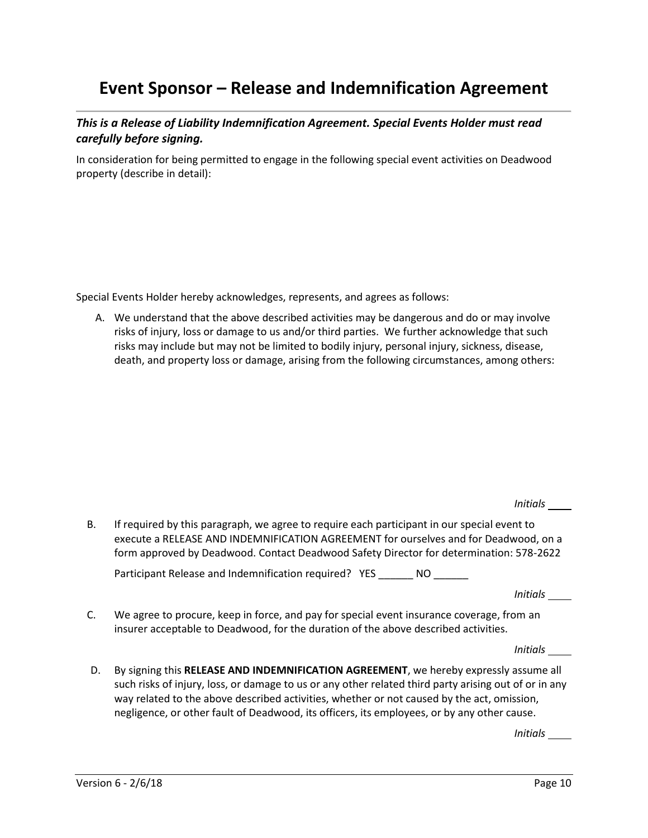### **Event Sponsor – Release and Indemnification Agreement**

*This is a Release of Liability Indemnification Agreement. Special Events Holder must read carefully before signing.* 

In consideration for being permitted to engage in the following special event activities on Deadwood property (describe in detail):

Special Events Holder hereby acknowledges, represents, and agrees as follows:

A. We understand that the above described activities may be dangerous and do or may involve risks of injury, loss or damage to us and/or third parties. We further acknowledge that such risks may include but may not be limited to bodily injury, personal injury, sickness, disease, death, and property loss or damage, arising from the following circumstances, among others:

*Initials* 

 B. If required by this paragraph, we agree to require each participant in our special event to execute a RELEASE AND INDEMNIFICATION AGREEMENT for ourselves and for Deadwood, on a form approved by Deadwood. Contact Deadwood Safety Director for determination: 578-2622

Participant Release and Indemnification required? YES \_\_\_\_\_\_ NO \_\_\_\_

*Initials* 

 C. We agree to procure, keep in force, and pay for special event insurance coverage, from an insurer acceptable to Deadwood, for the duration of the above described activities.

*Initials* 

D. By signing this **RELEASE AND INDEMNIFICATION AGREEMENT**, we hereby expressly assume all such risks of injury, loss, or damage to us or any other related third party arising out of or in any way related to the above described activities, whether or not caused by the act, omission, negligence, or other fault of Deadwood, its officers, its employees, or by any other cause.

*Initials*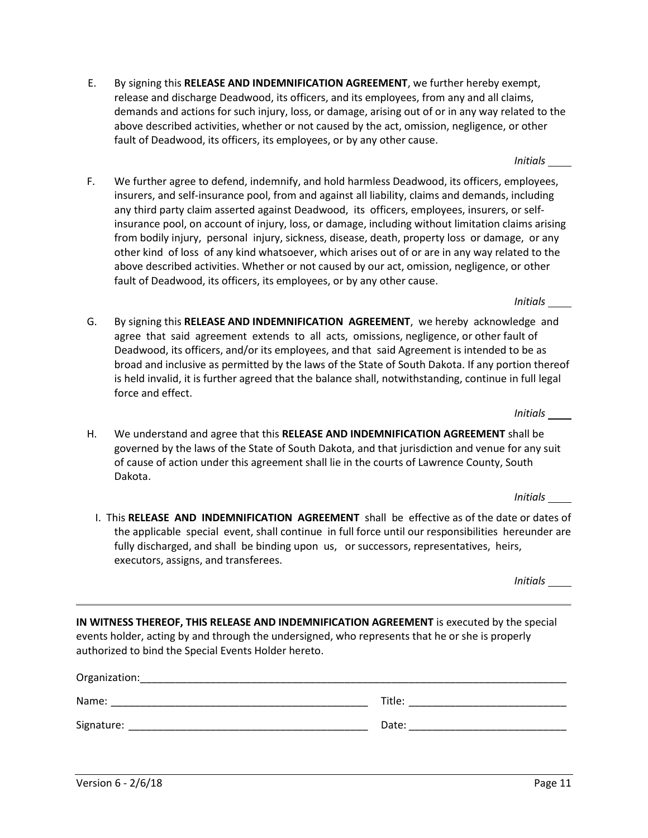- E. By signing this **RELEASE AND INDEMNIFICATION AGREEMENT**, we further hereby exempt, release and discharge Deadwood, its officers, and its employees, from any and all claims, demands and actions for such injury, loss, or damage, arising out of or in any way related to the above described activities, whether or not caused by the act, omission, negligence, or other fault of Deadwood, its officers, its employees, or by any other cause.
- F. We further agree to defend, indemnify, and hold harmless Deadwood, its officers, employees, insurers, and self-insurance pool, from and against all liability, claims and demands, including any third party claim asserted against Deadwood, its officers, employees, insurers, or selfinsurance pool, on account of injury, loss, or damage, including without limitation claims arising from bodily injury, personal injury, sickness, disease, death, property loss or damage, or any other kind of loss of any kind whatsoever, which arises out of or are in any way related to the above described activities. Whether or not caused by our act, omission, negligence, or other fault of Deadwood, its officers, its employees, or by any other cause.
- G. By signing this **RELEASE AND INDEMNIFICATION AGREEMENT**, we hereby acknowledge and agree that said agreement extends to all acts, omissions, negligence, or other fault of Deadwood, its officers, and/or its employees, and that said Agreement is intended to be as broad and inclusive as permitted by the laws of the State of South Dakota. If any portion thereof is held invalid, it is further agreed that the balance shall, notwithstanding, continue in full legal force and effect.
- H. We understand and agree that this **RELEASE AND INDEMNIFICATION AGREEMENT** shall be governed by the laws of the State of South Dakota, and that jurisdiction and venue for any suit of cause of action under this agreement shall lie in the courts of Lawrence County, South Dakota.

I. This **RELEASE AND INDEMNIFICATION AGREEMENT** shall be effective as of the date or dates of the applicable special event, shall continue in full force until our responsibilities hereunder are fully discharged, and shall be binding upon us, or successors, representatives, heirs, executors, assigns, and transferees.

**IN WITNESS THEREOF, THIS RELEASE AND INDEMNIFICATION AGREEMENT** is executed by the special events holder, acting by and through the undersigned, who represents that he or she is properly authorized to bind the Special Events Holder hereto.

| Organization: |        |
|---------------|--------|
| Name:         | Title: |
| Signature:    | Date:  |
|               |        |

*Initials* 

*Initials* 

*Initials* 

*Initials* 

*Initials*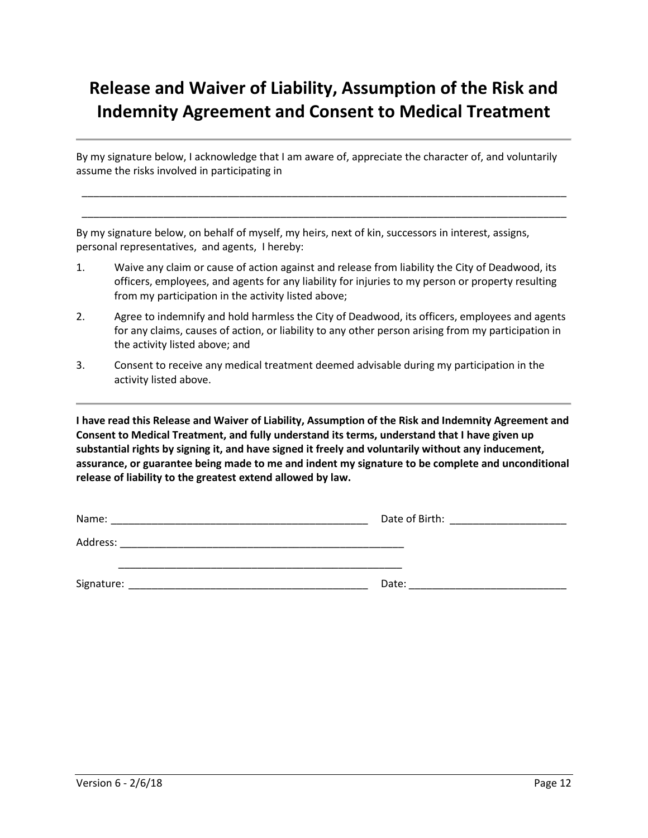# **Release and Waiver of Liability, Assumption of the Risk and Indemnity Agreement and Consent to Medical Treatment**

By my signature below, I acknowledge that I am aware of, appreciate the character of, and voluntarily assume the risks involved in participating in

\_\_\_\_\_\_\_\_\_\_\_\_\_\_\_\_\_\_\_\_\_\_\_\_\_\_\_\_\_\_\_\_\_\_\_\_\_\_\_\_\_\_\_\_\_\_\_\_\_\_\_\_\_\_\_\_\_\_\_\_\_\_\_\_\_\_\_\_\_\_\_\_\_\_\_\_\_\_\_\_\_\_\_ \_\_\_\_\_\_\_\_\_\_\_\_\_\_\_\_\_\_\_\_\_\_\_\_\_\_\_\_\_\_\_\_\_\_\_\_\_\_\_\_\_\_\_\_\_\_\_\_\_\_\_\_\_\_\_\_\_\_\_\_\_\_\_\_\_\_\_\_\_\_\_\_\_\_\_\_\_\_\_\_\_\_\_

By my signature below, on behalf of myself, my heirs, next of kin, successors in interest, assigns, personal representatives, and agents, I hereby:

- 1. Waive any claim or cause of action against and release from liability the City of Deadwood, its officers, employees, and agents for any liability for injuries to my person or property resulting from my participation in the activity listed above;
- 2. Agree to indemnify and hold harmless the City of Deadwood, its officers, employees and agents for any claims, causes of action, or liability to any other person arising from my participation in the activity listed above; and
- 3. Consent to receive any medical treatment deemed advisable during my participation in the activity listed above.

**I have read this Release and Waiver of Liability, Assumption of the Risk and Indemnity Agreement and Consent to Medical Treatment, and fully understand its terms, understand that I have given up substantial rights by signing it, and have signed it freely and voluntarily without any inducement, assurance, or guarantee being made to me and indent my signature to be complete and unconditional release of liability to the greatest extend allowed by law.** 

| Name:      | Date of Birth: |
|------------|----------------|
| Address:   |                |
|            |                |
| Signature: | Date:          |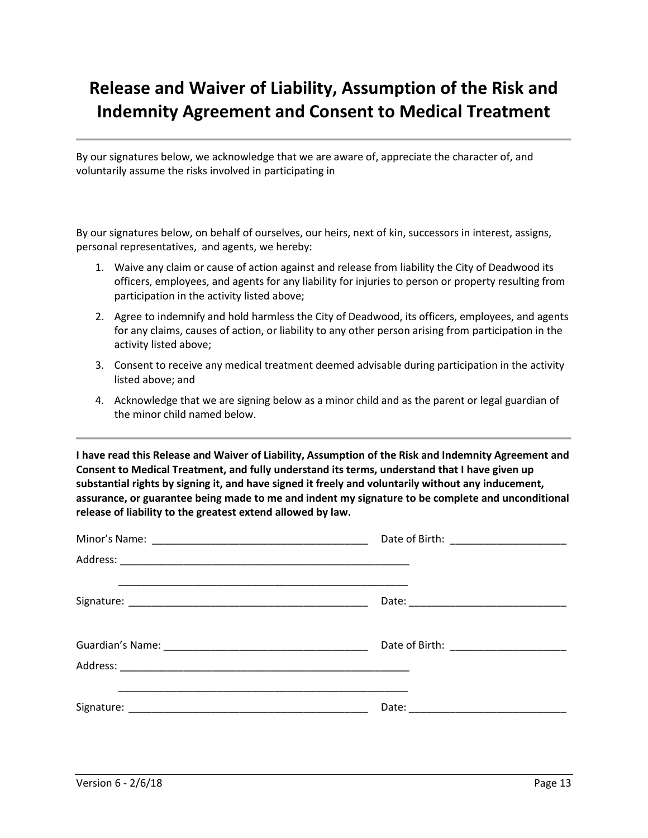# **Release and Waiver of Liability, Assumption of the Risk and Indemnity Agreement and Consent to Medical Treatment**

By our signatures below, we acknowledge that we are aware of, appreciate the character of, and voluntarily assume the risks involved in participating in

By our signatures below, on behalf of ourselves, our heirs, next of kin, successors in interest, assigns, personal representatives, and agents, we hereby:

- 1. Waive any claim or cause of action against and release from liability the City of Deadwood its officers, employees, and agents for any liability for injuries to person or property resulting from participation in the activity listed above;
- 2. Agree to indemnify and hold harmless the City of Deadwood, its officers, employees, and agents for any claims, causes of action, or liability to any other person arising from participation in the activity listed above;
- 3. Consent to receive any medical treatment deemed advisable during participation in the activity listed above; and
- 4. Acknowledge that we are signing below as a minor child and as the parent or legal guardian of the minor child named below.

**I have read this Release and Waiver of Liability, Assumption of the Risk and Indemnity Agreement and Consent to Medical Treatment, and fully understand its terms, understand that I have given up substantial rights by signing it, and have signed it freely and voluntarily without any inducement, assurance, or guarantee being made to me and indent my signature to be complete and unconditional release of liability to the greatest extend allowed by law.**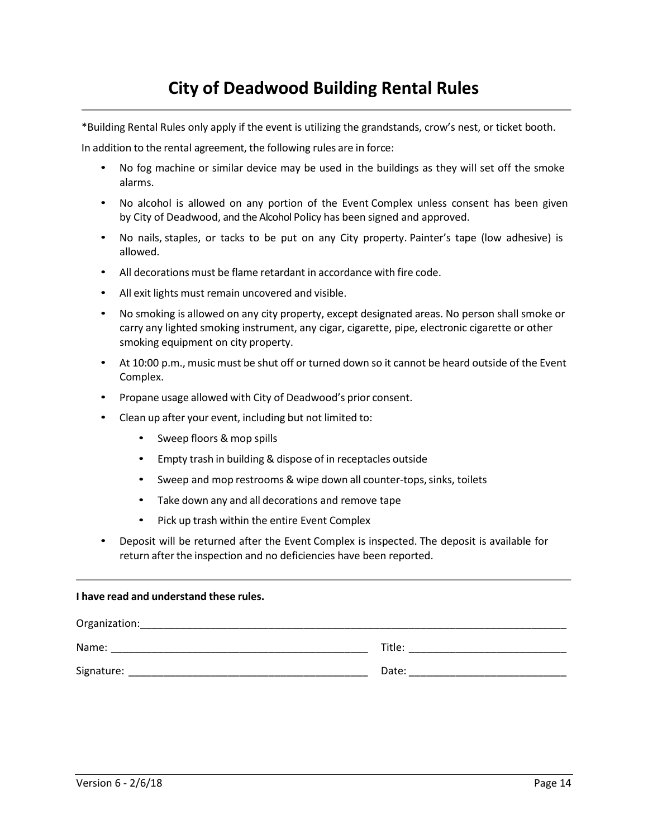\*Building Rental Rules only apply if the event is utilizing the grandstands, crow's nest, or ticket booth.

In addition to the rental agreement, the following rules are in force:

- No fog machine or similar device may be used in the buildings as they will set off the smoke alarms.
- No alcohol is allowed on any portion of the Event Complex unless consent has been given by City of Deadwood, and the Alcohol Policy has been signed and approved.
- No nails, staples, or tacks to be put on any City property. Painter's tape (low adhesive) is allowed.
- All decorations must be flame retardant in accordance with fire code.
- All exit lights must remain uncovered and visible.
- No smoking is allowed on any city property, except designated areas. No person shall smoke or carry any lighted smoking instrument, any cigar, cigarette, pipe, electronic cigarette or other smoking equipment on city property.
- At 10:00 p.m., music must be shut off or turned down so it cannot be heard outside of the Event Complex.
- Propane usage allowed with City of Deadwood's prior consent.
- Clean up after your event, including but not limited to:
	- Sweep floors & mop spills
	- Empty trash in building & dispose of in receptacles outside
	- Sweep and mop restrooms & wipe down all counter-tops, sinks, toilets
	- Take down any and all decorations and remove tape
	- Pick up trash within the entire Event Complex
- Deposit will be returned after the Event Complex is inspected. The deposit is available for return after the inspection and no deficiencies have been reported.

#### **I have read and understand these rules.**

| Organization: |        |
|---------------|--------|
| Name:         | Title: |
| Signature:    | Date:  |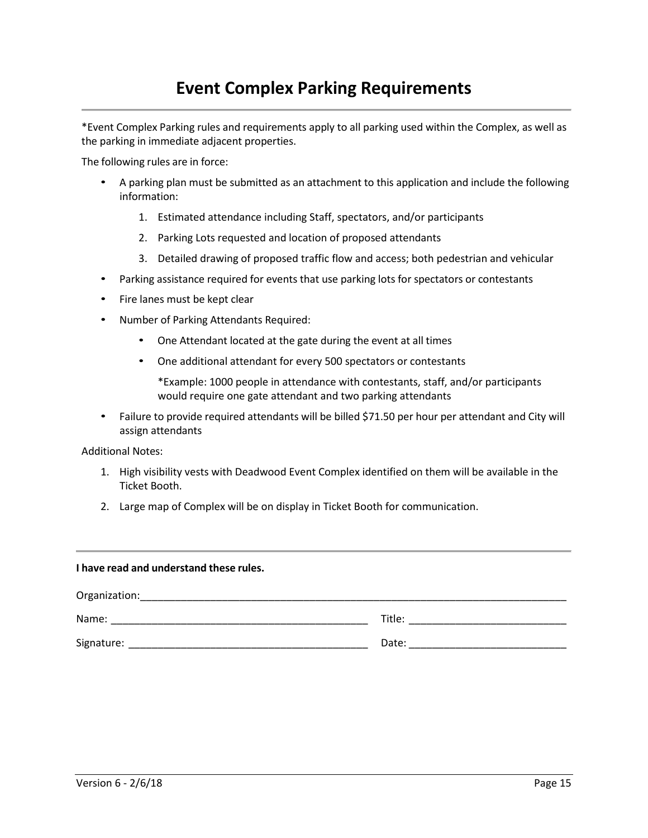## **Event Complex Parking Requirements**

\*Event Complex Parking rules and requirements apply to all parking used within the Complex, as well as the parking in immediate adjacent properties.

The following rules are in force:

- A parking plan must be submitted as an attachment to this application and include the following information:
	- 1. Estimated attendance including Staff, spectators, and/or participants
	- 2. Parking Lots requested and location of proposed attendants
	- 3. Detailed drawing of proposed traffic flow and access; both pedestrian and vehicular
- Parking assistance required for events that use parking lots for spectators or contestants
- Fire lanes must be kept clear
- Number of Parking Attendants Required:
	- One Attendant located at the gate during the event at all times
	- One additional attendant for every 500 spectators or contestants

\*Example: 1000 people in attendance with contestants, staff, and/or participants would require one gate attendant and two parking attendants

• Failure to provide required attendants will be billed \$71.50 per hour per attendant and City will assign attendants

Additional Notes:

- 1. High visibility vests with Deadwood Event Complex identified on them will be available in the Ticket Booth.
- 2. Large map of Complex will be on display in Ticket Booth for communication.

| I have read and understand these rules. |                      |  |
|-----------------------------------------|----------------------|--|
| Organization:                           |                      |  |
|                                         | <b>Title:</b> Title: |  |
| Signature:                              | Date:                |  |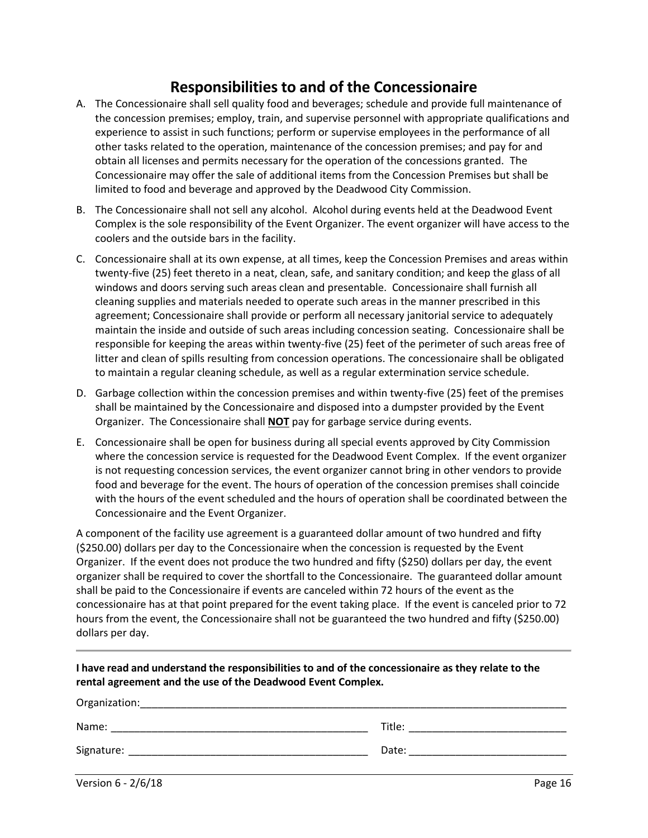### **Responsibilities to and of the Concessionaire**

- A. The Concessionaire shall sell quality food and beverages; schedule and provide full maintenance of the concession premises; employ, train, and supervise personnel with appropriate qualifications and experience to assist in such functions; perform or supervise employees in the performance of all other tasks related to the operation, maintenance of the concession premises; and pay for and obtain all licenses and permits necessary for the operation of the concessions granted. The Concessionaire may offer the sale of additional items from the Concession Premises but shall be limited to food and beverage and approved by the Deadwood City Commission.
- B. The Concessionaire shall not sell any alcohol. Alcohol during events held at the Deadwood Event Complex is the sole responsibility of the Event Organizer. The event organizer will have access to the coolers and the outside bars in the facility.
- C. Concessionaire shall at its own expense, at all times, keep the Concession Premises and areas within twenty-five (25) feet thereto in a neat, clean, safe, and sanitary condition; and keep the glass of all windows and doors serving such areas clean and presentable. Concessionaire shall furnish all cleaning supplies and materials needed to operate such areas in the manner prescribed in this agreement; Concessionaire shall provide or perform all necessary janitorial service to adequately maintain the inside and outside of such areas including concession seating. Concessionaire shall be responsible for keeping the areas within twenty-five (25) feet of the perimeter of such areas free of litter and clean of spills resulting from concession operations. The concessionaire shall be obligated to maintain a regular cleaning schedule, as well as a regular extermination service schedule.
- D. Garbage collection within the concession premises and within twenty-five (25) feet of the premises shall be maintained by the Concessionaire and disposed into a dumpster provided by the Event Organizer. The Concessionaire shall **NOT** pay for garbage service during events.
- E. Concessionaire shall be open for business during all special events approved by City Commission where the concession service is requested for the Deadwood Event Complex. If the event organizer is not requesting concession services, the event organizer cannot bring in other vendors to provide food and beverage for the event. The hours of operation of the concession premises shall coincide with the hours of the event scheduled and the hours of operation shall be coordinated between the Concessionaire and the Event Organizer.

A component of the facility use agreement is a guaranteed dollar amount of two hundred and fifty (\$250.00) dollars per day to the Concessionaire when the concession is requested by the Event Organizer. If the event does not produce the two hundred and fifty (\$250) dollars per day, the event organizer shall be required to cover the shortfall to the Concessionaire. The guaranteed dollar amount shall be paid to the Concessionaire if events are canceled within 72 hours of the event as the concessionaire has at that point prepared for the event taking place. If the event is canceled prior to 72 hours from the event, the Concessionaire shall not be guaranteed the two hundred and fifty (\$250.00) dollars per day.

| I have read and understand the responsibilities to and of the concessionaire as they relate to the |  |
|----------------------------------------------------------------------------------------------------|--|
| rental agreement and the use of the Deadwood Event Complex.                                        |  |

| Organization: |        |
|---------------|--------|
| Name:         | Title: |
| Signature:    | Date:  |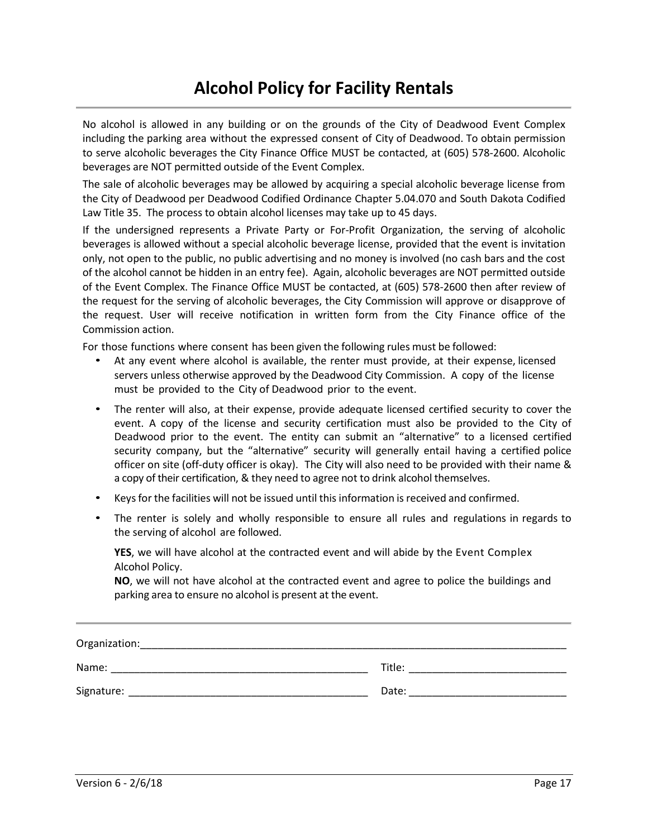## **Alcohol Policy for Facility Rentals**

No alcohol is allowed in any building or on the grounds of the City of Deadwood Event Complex including the parking area without the expressed consent of City of Deadwood. To obtain permission to serve alcoholic beverages the City Finance Office MUST be contacted, at (605) 578-2600. Alcoholic beverages are NOT permitted outside of the Event Complex.

The sale of alcoholic beverages may be allowed by acquiring a special alcoholic beverage license from the City of Deadwood per Deadwood Codified Ordinance Chapter 5.04.070 and South Dakota Codified Law Title 35. The process to obtain alcohol licenses may take up to 45 days.

If the undersigned represents a Private Party or For-Profit Organization, the serving of alcoholic beverages is allowed without a special alcoholic beverage license, provided that the event is invitation only, not open to the public, no public advertising and no money is involved (no cash bars and the cost of the alcohol cannot be hidden in an entry fee). Again, alcoholic beverages are NOT permitted outside of the Event Complex. The Finance Office MUST be contacted, at (605) 578-2600 then after review of the request for the serving of alcoholic beverages, the City Commission will approve or disapprove of the request. User will receive notification in written form from the City Finance office of the Commission action.

For those functions where consent has been given the following rules must be followed:

- At any event where alcohol is available, the renter must provide, at their expense, licensed servers unless otherwise approved by the Deadwood City Commission. A copy of the license must be provided to the City of Deadwood prior to the event.
- The renter will also, at their expense, provide adequate licensed certified security to cover the event. A copy of the license and security certification must also be provided to the City of Deadwood prior to the event. The entity can submit an "alternative" to a licensed certified security company, but the "alternative" security will generally entail having a certified police officer on site (off-duty officer is okay). The City will also need to be provided with their name & a copy of their certification, & they need to agree not to drink alcohol themselves.
- Keys for the facilities will not be issued until this information is received and confirmed.
- The renter is solely and wholly responsible to ensure all rules and regulations in regards to the serving of alcohol are followed.

**YES**, we will have alcohol at the contracted event and will abide by the Event Complex Alcohol Policy.

**NO**, we will not have alcohol at the contracted event and agree to police the buildings and parking area to ensure no alcohol is present at the event.

| Organization: |        |
|---------------|--------|
| Name:         | Title: |
| Signature:    | Date:  |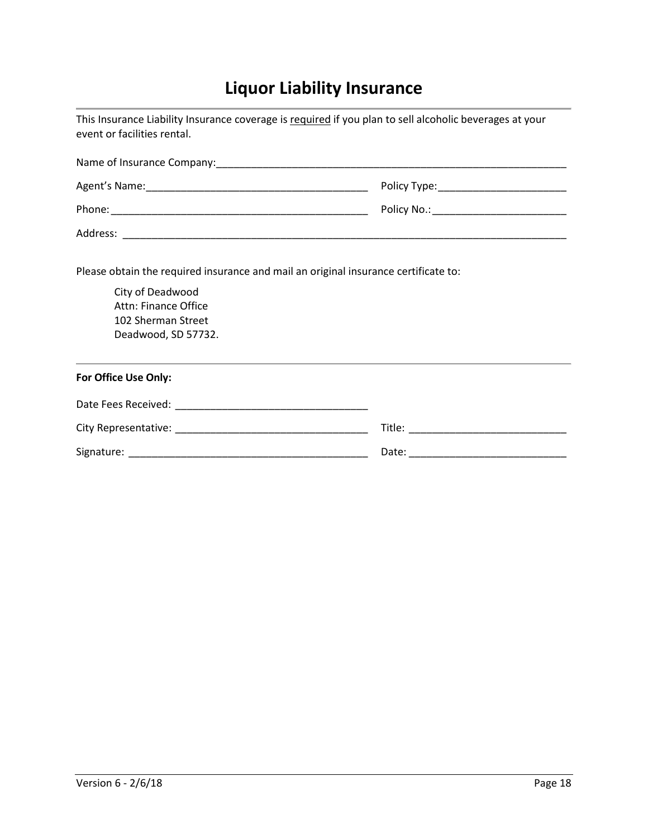# **Liquor Liability Insurance**

| This Insurance Liability Insurance coverage is required if you plan to sell alcoholic beverages at your<br>event or facilities rental.                                       |                                           |  |  |
|------------------------------------------------------------------------------------------------------------------------------------------------------------------------------|-------------------------------------------|--|--|
|                                                                                                                                                                              |                                           |  |  |
|                                                                                                                                                                              |                                           |  |  |
|                                                                                                                                                                              | Policy No.: _____________________________ |  |  |
|                                                                                                                                                                              |                                           |  |  |
| Please obtain the required insurance and mail an original insurance certificate to:<br>City of Deadwood<br>Attn: Finance Office<br>102 Sherman Street<br>Deadwood, SD 57732. |                                           |  |  |
| For Office Use Only:                                                                                                                                                         |                                           |  |  |
|                                                                                                                                                                              |                                           |  |  |
|                                                                                                                                                                              |                                           |  |  |
|                                                                                                                                                                              |                                           |  |  |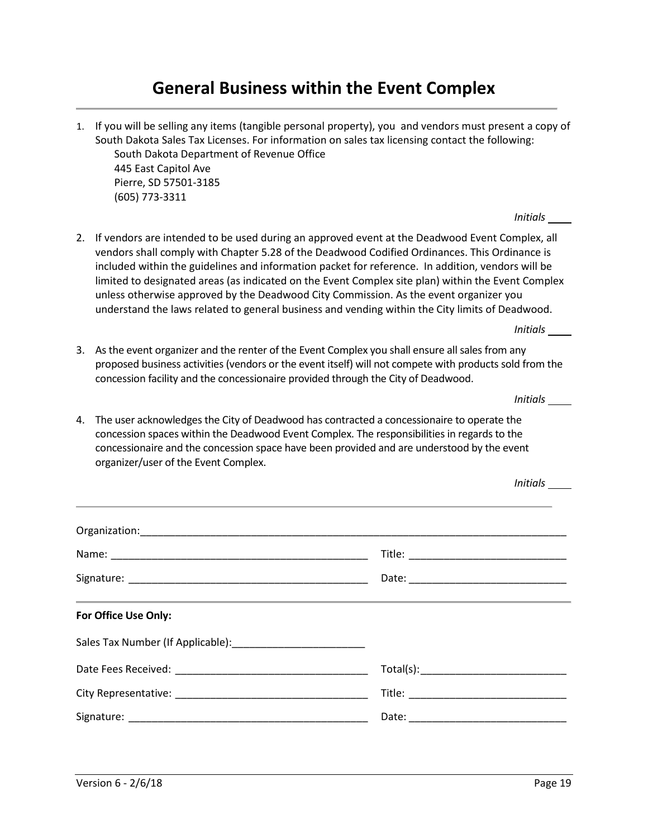### **General Business within the Event Complex**

1. If you will be selling any items (tangible personal property), you and vendors must present a copy of South Dakota Sales Tax Licenses. For information on sales tax licensing contact the following: South Dakota Department of Revenue Office 445 East Capitol Ave Pierre, SD 57501-3185 (605) 773-3311

*Initials* 

2. If vendors are intended to be used during an approved event at the Deadwood Event Complex, all vendors shall comply with Chapter 5.28 of the Deadwood Codified Ordinances. This Ordinance is included within the guidelines and information packet for reference. In addition, vendors will be limited to designated areas (as indicated on the Event Complex site plan) within the Event Complex unless otherwise approved by the Deadwood City Commission. As the event organizer you understand the laws related to general business and vending within the City limits of Deadwood.

*Initials* 

3. As the event organizer and the renter of the Event Complex you shall ensure all sales from any proposed business activities (vendors or the event itself) will not compete with products sold from the concession facility and the concessionaire provided through the City of Deadwood.

*Initials* 

*Initials* 

4. The user acknowledges the City of Deadwood has contracted a concessionaire to operate the concession spaces within the Deadwood Event Complex. The responsibilities in regards to the concessionaire and the concession space have been provided and are understood by the event organizer/user of the Event Complex.

| <u> 1989 - Jan Samuel Barbara, margaret a shekara ta 1989 - An tsara tsa a shekara tsa a shekara tsa a shekara t</u> |
|----------------------------------------------------------------------------------------------------------------------|
|                                                                                                                      |
|                                                                                                                      |
|                                                                                                                      |
|                                                                                                                      |
|                                                                                                                      |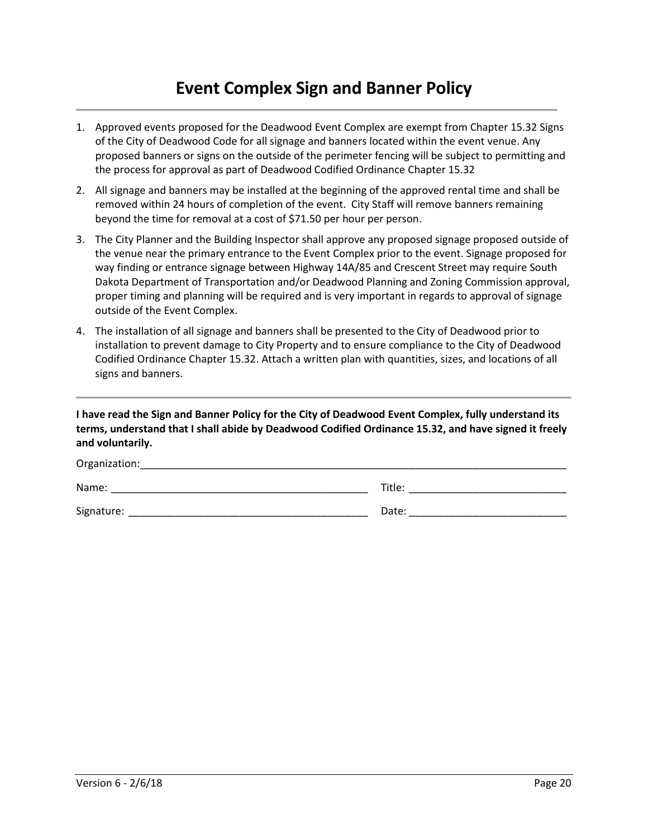## **Event Complex Sign and Banner Policy**

- 1. Approved events proposed for the Deadwood Event Complex are exempt from Chapter 15.32 Signs of the City of Deadwood Code for all signage and banners located within the event venue. Any proposed banners or signs on the outside of the perimeter fencing will be subject to permitting and the process for approval as part of Deadwood Codified Ordinance Chapter 15.32
- 2. All signage and banners may be installed at the beginning of the approved rental time and shall be removed within 24 hours of completion of the event. City Staff will remove banners remaining beyond the time for removal at a cost of \$71.50 per hour per person.
- 3. The City Planner and the Building Inspector shall approve any proposed signage proposed outside of the venue near the primary entrance to the Event Complex prior to the event. Signage proposed for way finding or entrance signage between Highway 14A/85 and Crescent Street may require South Dakota Department of Transportation and/or Deadwood Planning and Zoning Commission approval, proper timing and planning will be required and is very important in regards to approval of signage outside of the Event Complex.
- 4. The installation of all signage and banners shall be presented to the City of Deadwood prior to installation to prevent damage to City Property and to ensure compliance to the City of Deadwood Codified Ordinance Chapter 15.32. Attach a written plan with quantities, sizes, and locations of all signs and banners.

**I have read the Sign and Banner Policy for the City of Deadwood Event Complex, fully understand its terms, understand that I shall abide by Deadwood Codified Ordinance 15.32, and have signed it freely and voluntarily.** 

| Organization: |        |
|---------------|--------|
| Name:         | Title: |
| Signature:    | Date:  |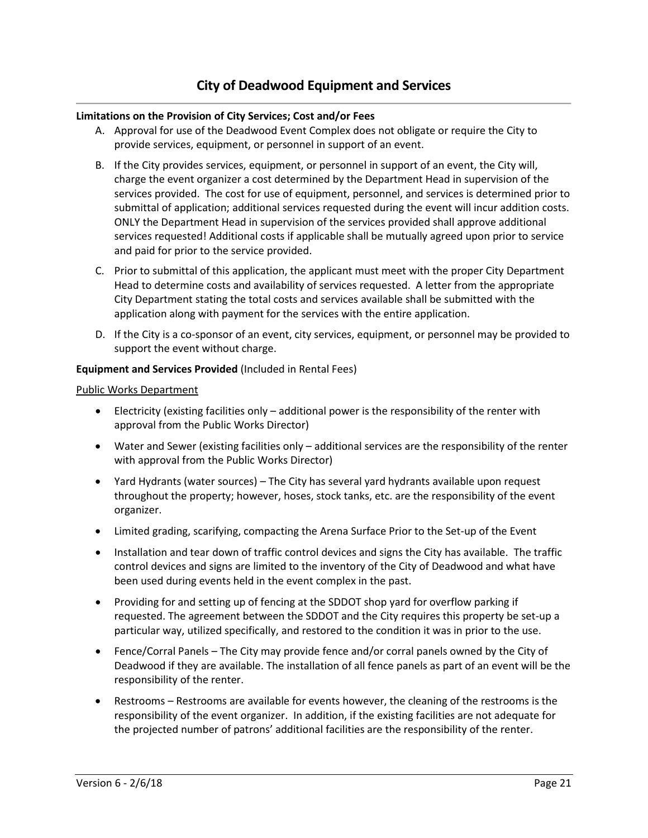### **Limitations on the Provision of City Services; Cost and/or Fees**

- A. Approval for use of the Deadwood Event Complex does not obligate or require the City to provide services, equipment, or personnel in support of an event.
- B. If the City provides services, equipment, or personnel in support of an event, the City will, charge the event organizer a cost determined by the Department Head in supervision of the services provided. The cost for use of equipment, personnel, and services is determined prior to submittal of application; additional services requested during the event will incur addition costs. ONLY the Department Head in supervision of the services provided shall approve additional services requested! Additional costs if applicable shall be mutually agreed upon prior to service and paid for prior to the service provided.
- C. Prior to submittal of this application, the applicant must meet with the proper City Department Head to determine costs and availability of services requested. A letter from the appropriate City Department stating the total costs and services available shall be submitted with the application along with payment for the services with the entire application.
- D. If the City is a co-sponsor of an event, city services, equipment, or personnel may be provided to support the event without charge.

### **Equipment and Services Provided** (Included in Rental Fees)

#### Public Works Department

- Electricity (existing facilities only additional power is the responsibility of the renter with approval from the Public Works Director)
- Water and Sewer (existing facilities only additional services are the responsibility of the renter with approval from the Public Works Director)
- Yard Hydrants (water sources) The City has several yard hydrants available upon request throughout the property; however, hoses, stock tanks, etc. are the responsibility of the event organizer.
- Limited grading, scarifying, compacting the Arena Surface Prior to the Set-up of the Event
- Installation and tear down of traffic control devices and signs the City has available. The traffic control devices and signs are limited to the inventory of the City of Deadwood and what have been used during events held in the event complex in the past.
- Providing for and setting up of fencing at the SDDOT shop yard for overflow parking if requested. The agreement between the SDDOT and the City requires this property be set-up a particular way, utilized specifically, and restored to the condition it was in prior to the use.
- Fence/Corral Panels The City may provide fence and/or corral panels owned by the City of Deadwood if they are available. The installation of all fence panels as part of an event will be the responsibility of the renter.
- Restrooms Restrooms are available for events however, the cleaning of the restrooms is the responsibility of the event organizer. In addition, if the existing facilities are not adequate for the projected number of patrons' additional facilities are the responsibility of the renter.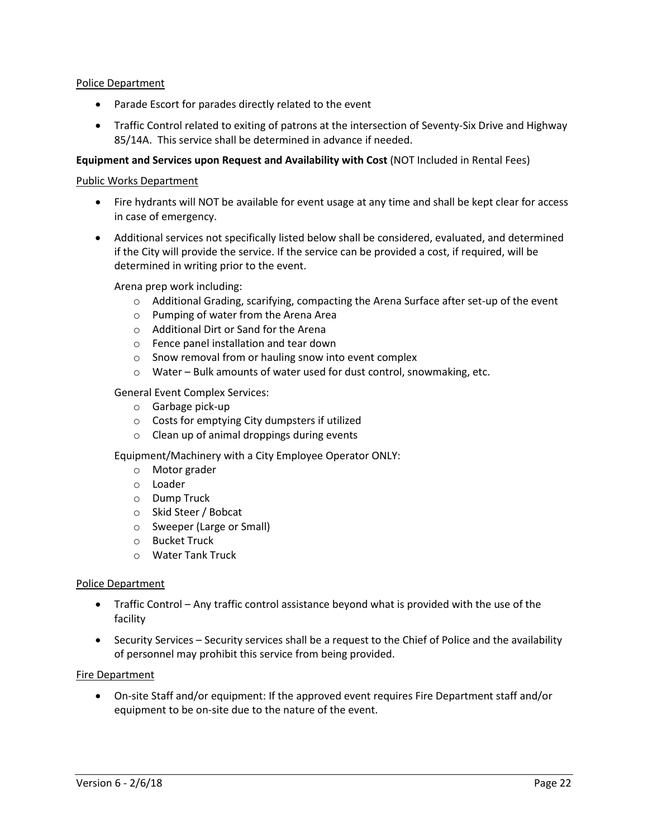### Police Department

- Parade Escort for parades directly related to the event
- Traffic Control related to exiting of patrons at the intersection of Seventy-Six Drive and Highway 85/14A. This service shall be determined in advance if needed.

### **Equipment and Services upon Request and Availability with Cost** (NOT Included in Rental Fees)

#### Public Works Department

- Fire hydrants will NOT be available for event usage at any time and shall be kept clear for access in case of emergency.
- Additional services not specifically listed below shall be considered, evaluated, and determined if the City will provide the service. If the service can be provided a cost, if required, will be determined in writing prior to the event.

Arena prep work including:

- o Additional Grading, scarifying, compacting the Arena Surface after set-up of the event
- o Pumping of water from the Arena Area
- o Additional Dirt or Sand for the Arena
- o Fence panel installation and tear down
- o Snow removal from or hauling snow into event complex
- o Water Bulk amounts of water used for dust control, snowmaking, etc.

General Event Complex Services:

- o Garbage pick-up
- o Costs for emptying City dumpsters if utilized
- o Clean up of animal droppings during events

Equipment/Machinery with a City Employee Operator ONLY:

- o Motor grader
- o Loader
- o Dump Truck
- o Skid Steer / Bobcat
- o Sweeper (Large or Small)
- o Bucket Truck
- o Water Tank Truck

#### Police Department

- Traffic Control Any traffic control assistance beyond what is provided with the use of the facility
- Security Services Security services shall be a request to the Chief of Police and the availability of personnel may prohibit this service from being provided.

#### Fire Department

 On-site Staff and/or equipment: If the approved event requires Fire Department staff and/or equipment to be on-site due to the nature of the event.